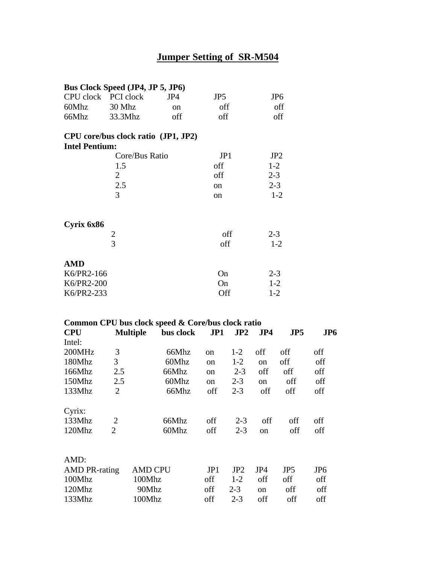# **Jumper Setting of SR-M504**

|                       | Bus Clock Speed (JP4, JP 5, JP6)                  |               |                 |         |         |                 |                 |
|-----------------------|---------------------------------------------------|---------------|-----------------|---------|---------|-----------------|-----------------|
| CPU clock PCI clock   |                                                   | JP4           | JP <sub>5</sub> |         |         | JP <sub>6</sub> |                 |
| 60Mhz                 | 30 Mhz                                            | <sub>on</sub> | off             |         |         | off             |                 |
| 66Mhz                 | 33.3Mhz                                           | off           | off             |         |         | off             |                 |
|                       | CPU core/bus clock ratio (JP1, JP2)               |               |                 |         |         |                 |                 |
| <b>Intel Pentium:</b> |                                                   |               |                 |         |         |                 |                 |
|                       | Core/Bus Ratio                                    |               | JP1             |         |         | JP <sub>2</sub> |                 |
|                       | 1.5                                               |               | off             |         | $1-2$   |                 |                 |
|                       | $\overline{2}$                                    |               | off             |         | $2 - 3$ |                 |                 |
|                       | 2.5                                               |               | <sub>on</sub>   |         | $2 - 3$ |                 |                 |
|                       | 3                                                 |               | <sub>on</sub>   |         |         | $1 - 2$         |                 |
| Cyrix 6x86            |                                                   |               |                 |         |         |                 |                 |
|                       | $\frac{2}{3}$                                     |               |                 | off     | $2 - 3$ |                 |                 |
|                       |                                                   |               | off             |         |         | $1 - 2$         |                 |
| <b>AMD</b>            |                                                   |               |                 |         |         |                 |                 |
| K6/PR2-166            |                                                   |               | On              |         | $2 - 3$ |                 |                 |
| K6/PR2-200            |                                                   |               | On              |         | $1 - 2$ |                 |                 |
| K6/PR2-233            |                                                   |               | Off             |         | $1 - 2$ |                 |                 |
|                       | Common CPU bus clock speed & Core/bus clock ratio |               |                 |         |         |                 |                 |
| <b>CPU</b>            | <b>Multiple</b>                                   | bus clock     | JP1             | JP2     | JP4     | JP5             | JP <sub>6</sub> |
| Intel:                |                                                   |               |                 |         |         |                 |                 |
| 200MHz                | 3                                                 | 66Mhz         | <sub>on</sub>   | $1 - 2$ | off     | off             | off             |

| Intel:               |                |                |               |         |     |                 |                 |
|----------------------|----------------|----------------|---------------|---------|-----|-----------------|-----------------|
| 200MHz               | 3              | 66Mhz          | <sub>on</sub> | $1-2$   | off | off             | off             |
| 180Mhz               | 3              | 60Mhz          | on            | $1-2$   | on  | off             | off             |
| 166Mhz               | 2.5            | 66Mhz          | <sub>on</sub> | $2 - 3$ | off | off             | off             |
| 150Mhz               | 2.5            | 60Mhz          | on            | $2 - 3$ | on  | off             | off             |
| 133Mhz               | $\overline{2}$ | 66Mhz          | off           | $2 - 3$ | off | off             | off             |
| Cyrix:               |                |                |               |         |     |                 |                 |
| 133Mhz               | 2              | 66Mhz          | off           | $2 - 3$ | off | off             | off             |
| 120Mhz               | 2              | 60Mhz          | off           | $2 - 3$ | on  | off             | off             |
| AMD:                 |                |                |               |         |     |                 |                 |
| <b>AMD PR-rating</b> |                | <b>AMD CPU</b> | JP1           | JP2     | JP4 | JP <sub>5</sub> | JP <sub>6</sub> |
| 100Mhz               |                | 100Mhz         | off           | $1-2$   | off | off             | off             |
| 120Mhz               |                | 90Mhz          | off           | $2 - 3$ | on  | off             | off             |
| 133Mhz               |                | 100Mhz         | off           | $2 - 3$ | off | off             | off             |